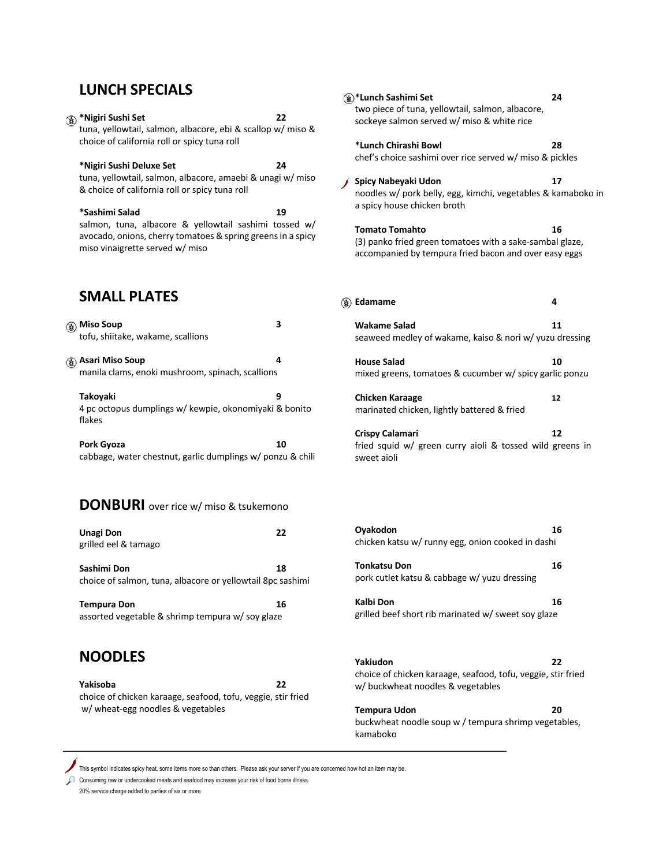#### **LUNCH SPECIALS**

**\*Nigiri Sushi Set 22** tuna, yellowtail, salmon, albacore, ebi & scallop w/ miso & choice of california roll or spicy tuna roll

**\*Nigiri Sushi Deluxe Set 24**  tuna, yellowtail, salmon, albacore, amaebi & unagi w/ miso & choice of california roll or spicy tuna roll

**\*Sashimi Salad 19** salmon, tuna, albacore & yellowtail sashimi tossed w/ avocado, onions, cherry tomatoes & spring greens in a spicy miso vinaigrette served w/ miso

#### **SMALL PLATES**

 $\left(\frac{\sqrt{2}}{2}\right)$  Miso Soup 3 tofu, shiitake, wakame, scallions

**Asari Miso Soup 4** manila clams, enoki mushroom, spinach, scallions

**Takoyaki 9** 4 pc octopus dumplings w/ kewpie, okonomiyaki & bonito flakes

Pork Gyoza **10** cabbage, water chestnut, garlic dumplings w/ ponzu & chili

#### **DONBURI** over rice w/ miso & tsukemono

| Unagi Don<br>grilled eel & tamago |  | 22 |
|-----------------------------------|--|----|
| Sashimi Don                       |  | 18 |

choice of salmon, tuna, albacore or yellowtail 8pc sashimi

**Tempura Don 16** assorted vegetable & shrimp tempura w/ soy glaze

# **NOODLES**

**Yakisoba 22** choice of chicken karaage, seafood, tofu, veggie, stir fried w/ wheat-egg noodles & vegetables

**\*Lunch Sashimi Set 24**  two piece of tuna, yellowtail, salmon, albacore, sockeye salmon served w/ miso & white rice **\*Lunch Chirashi Bowl 28** chef's choice sashimi over rice served w/ miso & pickles **Spicy Nabeyaki Udon 17** noodles w/ pork belly, egg, kimchi, vegetables & kamaboko in a spicy house chicken broth **Tomato Tomahto 16** (3) panko fried green tomatoes with a sake-sambal glaze, accompanied by tempura fried bacon and over easy eggs

**Edamame 4 Wakame Salad 11** seaweed medley of wakame, kaiso & nori w/ yuzu dressing

**House Salad 10**

mixed greens, tomatoes & cucumber w/ spicy garlic ponzu

**Chicken Karaage 12** marinated chicken, lightly battered & fried

**Crispy Calamari 12** fried squid w/ green curry aioli & tossed wild greens in sweet aioli

**Oyakodon 16** chicken katsu w/ runny egg, onion cooked in dashi

**Tonkatsu Don 16** pork cutlet katsu & cabbage w/ yuzu dressing

**Kalbi Don 16** grilled beef short rib marinated w/ sweet soy glaze

**Yakiudon 22** choice of chicken karaage, seafood, tofu, veggie, stir fried w/ buckwheat noodles & vegetables

**Tempura Udon 20** buckwheat noodle soup w / tempura shrimp vegetables, kamaboko

This symbol indicates spicy heat, some items more so than others. Please ask your server if you are concerned how hot an item may be.

Consuming raw or undercooked meats and seafood may increase your risk of food borne illness.

20% service charge added to parties of six or more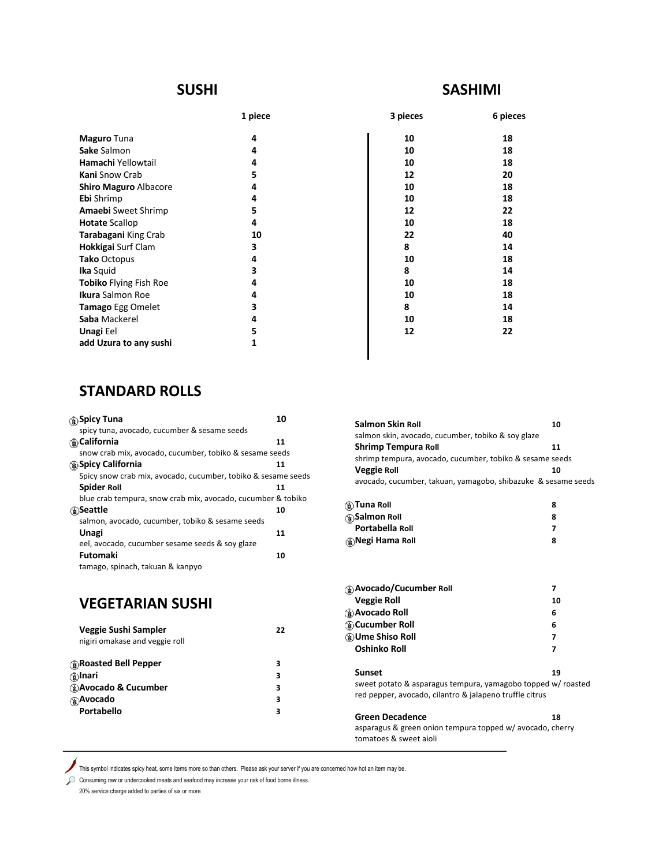### **SUSHI**

|                               | 1 piece | 3 pieces | 6 pieces |
|-------------------------------|---------|----------|----------|
| Maguro Tuna                   | 4       | 10       | 18       |
| Sake Salmon                   | 4       | 10       | 18       |
| Hamachi Yellowtail            | 4       | 10       | 18       |
| <b>Kani</b> Snow Crab         | 5       | 12       | 20       |
| <b>Shiro Maguro Albacore</b>  | 4       | 10       | 18       |
| Ebi Shrimp                    | 4       | 10       | 18       |
| <b>Amaebi</b> Sweet Shrimp    | 5       | 12       | 22       |
| <b>Hotate Scallop</b>         | 4       | 10       | 18       |
| Tarabagani King Crab          | 10      | 22       | 40       |
| Hokkigai Surf Clam            | 3       | 8        | 14       |
| Tako Octopus                  | 4       | 10       | 18       |
| <b>Ika Squid</b>              | 3       | 8        | 14       |
| <b>Tobiko Flying Fish Roe</b> | 4       | 10       | 18       |
| <b>Ikura</b> Salmon Roe       | 4       | 10       | 18       |
| Tamago Egg Omelet             | 3       | 8        | 14       |
| Saba Mackerel                 | 4       | 10       | 18       |
| <b>Unagi Eel</b>              | 5       | 12       | 22       |
| add Uzura to any sushi        | 1       |          |          |
|                               |         |          |          |

# **STANDARD ROLLS**

| ్ట్ర\$Spicy Tuna                                              | 10 |
|---------------------------------------------------------------|----|
| spicy tuna, avocado, cucumber & sesame seeds                  |    |
| <b><i></i> © California</b>                                   | 11 |
| snow crab mix, avocado, cucumber, tobiko & sesame seeds       |    |
| <b>Spicy California</b>                                       | 11 |
| Spicy snow crab mix, avocado, cucumber, tobiko & sesame seeds |    |
| <b>Spider Roll</b>                                            | 11 |
| blue crab tempura, snow crab mix, avocado, cucumber & tobiko  |    |
| (៖)Seattle                                                    | 10 |
| salmon, avocado, cucumber, tobiko & sesame seeds              |    |
| Unagi                                                         | 11 |
| eel, avocado, cucumber sesame seeds & soy glaze               |    |
| <b>Futomaki</b>                                               | 10 |
| tamago, spinach, takuan & kanpyo                              |    |

# **VEGETARIAN SUSHI**

| Veggie Sushi Sampler                | 22 |
|-------------------------------------|----|
| nigiri omakase and veggie roll      |    |
| <b>&amp;Roasted Bell Pepper</b>     | з  |
| (§)Inari                            | 3  |
| <b>&amp; Avocado &amp; Cucumber</b> | з  |
| <b>Avocado</b>                      | 3  |
| Portabello                          | з  |
|                                     |    |

| Salmon Skin Roll<br>salmon skin, avocado, cucumber, tobiko & soy glaze                                                  | 10 |
|-------------------------------------------------------------------------------------------------------------------------|----|
| Shrimp Tempura Roll                                                                                                     | 11 |
| shrimp tempura, avocado, cucumber, tobiko & sesame seeds                                                                |    |
| <b>Veggie Roll</b>                                                                                                      | 10 |
| avocado, cucumber, takuan, yamagobo, shibazuke & sesame seeds                                                           |    |
|                                                                                                                         |    |
| (ରୁ)Tuna Roll                                                                                                           | 8  |
| ୍ଭୁ:Salmon Roll                                                                                                         | 8  |
| Portabella Roll                                                                                                         | 7  |
| ⊛Negi Hama Roll                                                                                                         | 8  |
| (@Avocado/Cucumber Roll                                                                                                 | 7  |
| <b>Veggie Roll</b>                                                                                                      | 10 |
| (s)Avocado Roll                                                                                                         | 6  |
| ⊛Cucumber Roll                                                                                                          | 6  |
| ⊛Ume Shiso Roll                                                                                                         | 7  |
| Oshinko Roll                                                                                                            | 7  |
|                                                                                                                         |    |
| <b>Sunset</b>                                                                                                           | 19 |
| sweet potato & asparagus tempura, yamagobo topped w/ roasted<br>red pepper, avocado, cilantro & jalapeno truffle citrus |    |
| <b>Green Decadence</b>                                                                                                  | 18 |

asparagus & green onion tempura topped w/ avocado, cherry tomatoes & sweet aioli

This symbol indicates spicy heat, some items more so than others. Please ask your server if you are concerned how hot an item may be.

Consuming raw or undercooked meats and seafood may increase your risk of food borne illness.

20% service charge added to parties of six or more